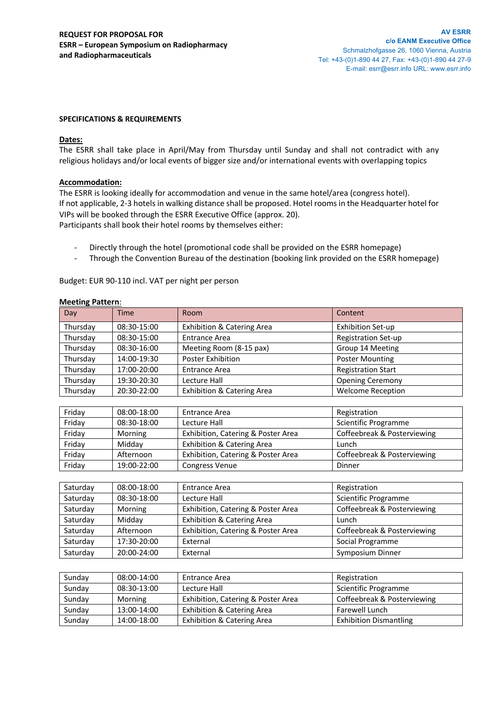## **SPECIFICATIONS & REQUIREMENTS**

### **Dates:**

The ESRR shall take place in April/May from Thursday until Sunday and shall not contradict with any religious holidays and/or local events of bigger size and/or international events with overlapping topics

## **Accommodation:**

The ESRR is looking ideally for accommodation and venue in the same hotel/area (congress hotel). If not applicable, 2-3 hotels in walking distance shall be proposed. Hotel rooms in the Headquarter hotel for VIPs will be booked through the ESRR Executive Office (approx. 20). Participants shall book their hotel rooms by themselves either:

- Directly through the hotel (promotional code shall be provided on the ESRR homepage)
- Through the Convention Bureau of the destination (booking link provided on the ESRR homepage)

Budget: EUR 90-110 incl. VAT per night per person

| Day      | Time        | Room                                  | Content                    |
|----------|-------------|---------------------------------------|----------------------------|
| Thursday | 08:30-15:00 | <b>Exhibition &amp; Catering Area</b> | <b>Exhibition Set-up</b>   |
| Thursday | 08:30-15:00 | <b>Entrance Area</b>                  | <b>Registration Set-up</b> |
| Thursday | 08:30-16:00 | Meeting Room (8-15 pax)               | Group 14 Meeting           |
| Thursday | 14:00-19:30 | Poster Exhibition                     | <b>Poster Mounting</b>     |
| Thursday | 17:00-20:00 | <b>Entrance Area</b>                  | <b>Registration Start</b>  |
| Thursday | 19:30-20:30 | Lecture Hall                          | <b>Opening Ceremony</b>    |
| Thursday | 20:30-22:00 | <b>Exhibition &amp; Catering Area</b> | <b>Welcome Reception</b>   |

#### **Meeting Pattern**:

| Friday | 08:00-18:00 | Entrance Area                         | Registration                |
|--------|-------------|---------------------------------------|-----------------------------|
| Friday | 08:30-18:00 | Lecture Hall                          | Scientific Programme        |
| Friday | Morning     | Exhibition, Catering & Poster Area    | Coffeebreak & Posterviewing |
| Friday | Middav      | <b>Exhibition &amp; Catering Area</b> | Lunch                       |
| Friday | Afternoon   | Exhibition, Catering & Poster Area    | Coffeebreak & Posterviewing |
| Friday | 19:00-22:00 | <b>Congress Venue</b>                 | Dinner                      |

| Saturday | 08:00-18:00 | <b>Entrance Area</b>                  | Registration                |
|----------|-------------|---------------------------------------|-----------------------------|
| Saturday | 08:30-18:00 | Lecture Hall                          | Scientific Programme        |
| Saturday | Morning     | Exhibition, Catering & Poster Area    | Coffeebreak & Posterviewing |
| Saturday | Middav      | <b>Exhibition &amp; Catering Area</b> | Lunch                       |
| Saturday | Afternoon   | Exhibition, Catering & Poster Area    | Coffeebreak & Posterviewing |
| Saturday | 17:30-20:00 | External                              | Social Programme            |
| Saturday | 20:00-24:00 | External                              | Symposium Dinner            |

| Sundav | 08:00-14:00 | Entrance Area                         | Registration                  |
|--------|-------------|---------------------------------------|-------------------------------|
| Sunday | 08:30-13:00 | Lecture Hall                          | Scientific Programme          |
| Sundav | Morning     | Exhibition, Catering & Poster Area    | Coffeebreak & Posterviewing   |
| Sunday | 13:00-14:00 | <b>Exhibition &amp; Catering Area</b> | Farewell Lunch                |
| Sundav | 14:00-18:00 | <b>Exhibition &amp; Catering Area</b> | <b>Exhibition Dismantling</b> |